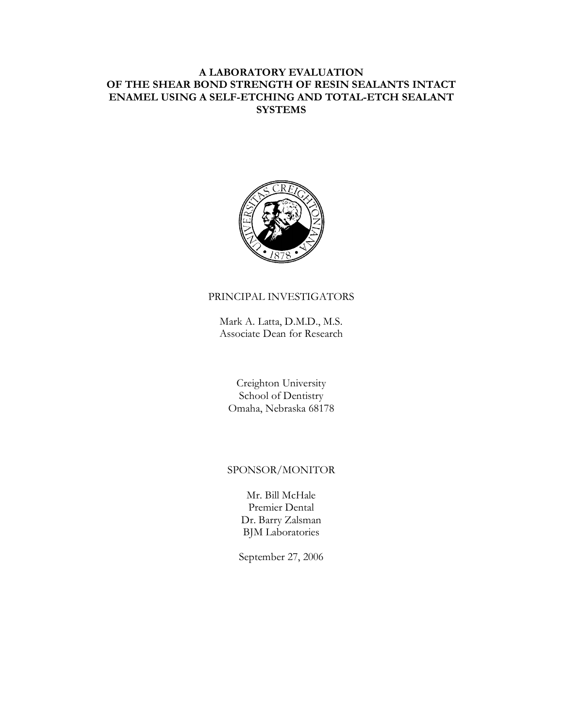# **A LABORATORY EVALUATION OF THE SHEAR BOND STRENGTH OF RESIN SEALANTS INTACT ENAMEL USING A SELF-ETCHING AND TOTAL-ETCH SEALANT SYSTEMS**



## PRINCIPAL INVESTIGATORS

Mark A. Latta, D.M.D., M.S. Associate Dean for Research

Creighton University School of Dentistry Omaha, Nebraska 68178

# SPONSOR/MONITOR

Mr. Bill McHale Premier Dental Dr. Barry Zalsman BJM Laboratories

September 27, 2006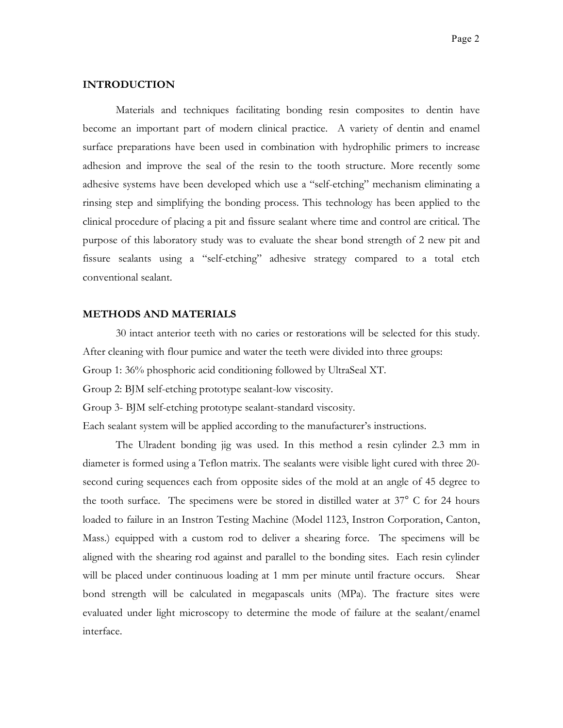#### **INTRODUCTION**

Materials and techniques facilitating bonding resin composites to dentin have become an important part of modern clinical practice. A variety of dentin and enamel surface preparations have been used in combination with hydrophilic primers to increase adhesion and improve the seal of the resin to the tooth structure. More recently some adhesive systems have been developed which use a "self-etching" mechanism eliminating a rinsing step and simplifying the bonding process. This technology has been applied to the clinical procedure of placing a pit and fissure sealant where time and control are critical. The purpose of this laboratory study was to evaluate the shear bond strength of 2 new pit and fissure sealants using a "self-etching" adhesive strategy compared to a total etch conventional sealant.

### **METHODS AND MATERIALS**

30 intact anterior teeth with no caries or restorations will be selected for this study. After cleaning with flour pumice and water the teeth were divided into three groups: Group 1: 36% phosphoric acid conditioning followed by UltraSeal XT.

Group 2: BJM self-etching prototype sealant-low viscosity.

Group 3- BJM self-etching prototype sealant-standard viscosity.

Each sealant system will be applied according to the manufacturer's instructions.

The Ulradent bonding jig was used. In this method a resin cylinder 2.3 mm in diameter is formed using a Teflon matrix. The sealants were visible light cured with three 20 second curing sequences each from opposite sides of the mold at an angle of 45 degree to the tooth surface. The specimens were be stored in distilled water at 37° C for 24 hours loaded to failure in an Instron Testing Machine (Model 1123, Instron Corporation, Canton, Mass.) equipped with a custom rod to deliver a shearing force. The specimens will be aligned with the shearing rod against and parallel to the bonding sites. Each resin cylinder will be placed under continuous loading at 1 mm per minute until fracture occurs. Shear bond strength will be calculated in megapascals units (MPa). The fracture sites were evaluated under light microscopy to determine the mode of failure at the sealant/enamel interface.